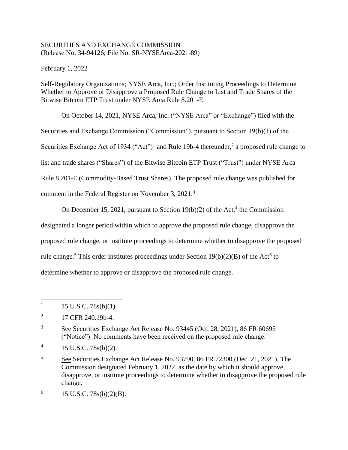## SECURITIES AND EXCHANGE COMMISSION (Release No. 34-94126; File No. SR-NYSEArca-2021-89)

February 1, 2022

Self-Regulatory Organizations; NYSE Arca, Inc.; Order Instituting Proceedings to Determine Whether to Approve or Disapprove a Proposed Rule Change to List and Trade Shares of the Bitwise Bitcoin ETP Trust under NYSE Arca Rule 8.201-E

On October 14, 2021, NYSE Arca, Inc. ("NYSE Arca" or "Exchange") filed with the Securities and Exchange Commission ("Commission"), pursuant to Section 19(b)(1) of the Securities Exchange Act of 1934 ("Act")<sup>1</sup> and Rule 19b-4 thereunder,<sup>2</sup> a proposed rule change to list and trade shares ("Shares") of the Bitwise Bitcoin ETP Trust ("Trust") under NYSE Arca Rule 8.201-E (Commodity-Based Trust Shares). The proposed rule change was published for comment in the Federal Register on November 3, 2021.<sup>3</sup>

On December 15, 2021, pursuant to Section  $19(b)(2)$  of the Act,<sup>4</sup> the Commission

designated a longer period within which to approve the proposed rule change, disapprove the

proposed rule change, or institute proceedings to determine whether to disapprove the proposed

rule change.<sup>5</sup> This order institutes proceedings under Section  $19(b)(2)(B)$  of the Act<sup>6</sup> to

determine whether to approve or disapprove the proposed rule change.

<sup>1</sup> 15 U.S.C. 78s(b)(1).

<sup>2</sup> 17 CFR 240.19b-4.

<sup>&</sup>lt;sup>3</sup> See Securities Exchange Act Release No. 93445 (Oct. 28, 2021), 86 FR 60695 ("Notice"). No comments have been received on the proposed rule change.

<sup>4</sup> 15 U.S.C. 78s(b)(2).

<sup>5</sup> See Securities Exchange Act Release No. 93790, 86 FR 72300 (Dec. 21, 2021). The Commission designated February 1, 2022, as the date by which it should approve, disapprove, or institute proceedings to determine whether to disapprove the proposed rule change.

<sup>6</sup> 15 U.S.C. 78s(b)(2)(B).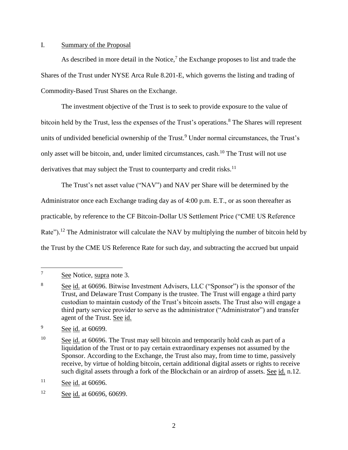### I. Summary of the Proposal

As described in more detail in the Notice, $\frac{7}{1}$  the Exchange proposes to list and trade the Shares of the Trust under NYSE Arca Rule 8.201-E, which governs the listing and trading of Commodity-Based Trust Shares on the Exchange.

The investment objective of the Trust is to seek to provide exposure to the value of bitcoin held by the Trust, less the expenses of the Trust's operations. <sup>8</sup> The Shares will represent units of undivided beneficial ownership of the Trust.<sup>9</sup> Under normal circumstances, the Trust's only asset will be bitcoin, and, under limited circumstances, cash.<sup>10</sup> The Trust will not use derivatives that may subject the Trust to counterparty and credit risks.<sup>11</sup>

The Trust's net asset value ("NAV") and NAV per Share will be determined by the Administrator once each Exchange trading day as of 4:00 p.m. E.T., or as soon thereafter as practicable, by reference to the CF Bitcoin-Dollar US Settlement Price ("CME US Reference Rate").<sup>12</sup> The Administrator will calculate the NAV by multiplying the number of bitcoin held by the Trust by the CME US Reference Rate for such day, and subtracting the accrued but unpaid

<sup>9</sup> See id. at 60699.

<sup>7</sup> See Notice, supra note 3.

<sup>&</sup>lt;sup>8</sup> See id. at 60696. Bitwise Investment Advisers, LLC ("Sponsor") is the sponsor of the Trust, and Delaware Trust Company is the trustee. The Trust will engage a third party custodian to maintain custody of the Trust's bitcoin assets. The Trust also will engage a third party service provider to serve as the administrator ("Administrator") and transfer agent of the Trust. See id.

<sup>&</sup>lt;sup>10</sup> See id. at 60696. The Trust may sell bitcoin and temporarily hold cash as part of a liquidation of the Trust or to pay certain extraordinary expenses not assumed by the Sponsor. According to the Exchange, the Trust also may, from time to time, passively receive, by virtue of holding bitcoin, certain additional digital assets or rights to receive such digital assets through a fork of the Blockchain or an airdrop of assets. See id. n.12.

 $\frac{11}{2}$  See id. at 60696.

<sup>&</sup>lt;sup>12</sup> See id. at 60696, 60699.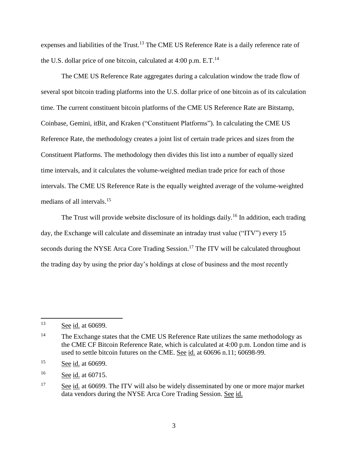expenses and liabilities of the Trust.<sup>13</sup> The CME US Reference Rate is a daily reference rate of the U.S. dollar price of one bitcoin, calculated at  $4:00$  p.m. E.T.<sup>14</sup>

The CME US Reference Rate aggregates during a calculation window the trade flow of several spot bitcoin trading platforms into the U.S. dollar price of one bitcoin as of its calculation time. The current constituent bitcoin platforms of the CME US Reference Rate are Bitstamp, Coinbase, Gemini, itBit, and Kraken ("Constituent Platforms"). In calculating the CME US Reference Rate, the methodology creates a joint list of certain trade prices and sizes from the Constituent Platforms. The methodology then divides this list into a number of equally sized time intervals, and it calculates the volume-weighted median trade price for each of those intervals. The CME US Reference Rate is the equally weighted average of the volume-weighted medians of all intervals. 15

The Trust will provide website disclosure of its holdings daily.<sup>16</sup> In addition, each trading day, the Exchange will calculate and disseminate an intraday trust value ("ITV") every 15 seconds during the NYSE Arca Core Trading Session.<sup>17</sup> The ITV will be calculated throughout the trading day by using the prior day's holdings at close of business and the most recently

<sup>13</sup> See id. at 60699.

<sup>&</sup>lt;sup>14</sup> The Exchange states that the CME US Reference Rate utilizes the same methodology as the CME CF Bitcoin Reference Rate, which is calculated at 4:00 p.m. London time and is used to settle bitcoin futures on the CME. See id. at 60696 n.11; 60698-99.

<sup>15</sup> See id. at 60699.

<sup>16</sup> See id. at 60715.

<sup>&</sup>lt;sup>17</sup> See id. at 60699. The ITV will also be widely disseminated by one or more major market data vendors during the NYSE Arca Core Trading Session. See id.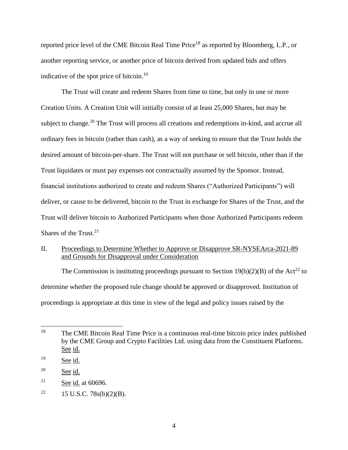reported price level of the CME Bitcoin Real Time Price<sup>18</sup> as reported by Bloomberg, L.P., or another reporting service, or another price of bitcoin derived from updated bids and offers indicative of the spot price of bitcoin.<sup>19</sup>

The Trust will create and redeem Shares from time to time, but only in one or more Creation Units. A Creation Unit will initially consist of at least 25,000 Shares, but may be subject to change.<sup>20</sup> The Trust will process all creations and redemptions in-kind, and accrue all ordinary fees in bitcoin (rather than cash), as a way of seeking to ensure that the Trust holds the desired amount of bitcoin-per-share. The Trust will not purchase or sell bitcoin, other than if the Trust liquidates or must pay expenses not contractually assumed by the Sponsor. Instead, financial institutions authorized to create and redeem Shares ("Authorized Participants") will deliver, or cause to be delivered, bitcoin to the Trust in exchange for Shares of the Trust, and the Trust will deliver bitcoin to Authorized Participants when those Authorized Participants redeem Shares of the Trust. $21$ 

# II. Proceedings to Determine Whether to Approve or Disapprove SR-NYSEArca-2021-89 and Grounds for Disapproval under Consideration

The Commission is instituting proceedings pursuant to Section  $19(b)(2)(B)$  of the Act<sup>22</sup> to determine whether the proposed rule change should be approved or disapproved. Institution of proceedings is appropriate at this time in view of the legal and policy issues raised by the

<sup>18</sup> <sup>18</sup> The CME Bitcoin Real Time Price is a continuous real-time bitcoin price index published by the CME Group and Crypto Facilities Ltd. using data from the Constituent Platforms. See id.

<sup>&</sup>lt;sup>19</sup> See id.

<sup>20</sup> See id.

<sup>&</sup>lt;sup>21</sup> See id. at  $60696$ .

<sup>&</sup>lt;sup>22</sup> 15 U.S.C. 78s(b)(2)(B).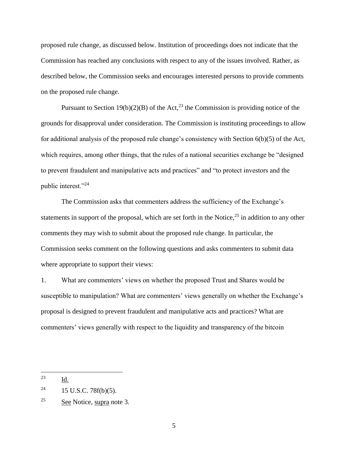proposed rule change, as discussed below. Institution of proceedings does not indicate that the Commission has reached any conclusions with respect to any of the issues involved. Rather, as described below, the Commission seeks and encourages interested persons to provide comments on the proposed rule change.

Pursuant to Section 19(b)(2)(B) of the Act,<sup>23</sup> the Commission is providing notice of the grounds for disapproval under consideration. The Commission is instituting proceedings to allow for additional analysis of the proposed rule change's consistency with Section 6(b)(5) of the Act, which requires, among other things, that the rules of a national securities exchange be "designed to prevent fraudulent and manipulative acts and practices" and "to protect investors and the public interest."<sup>24</sup>

The Commission asks that commenters address the sufficiency of the Exchange's statements in support of the proposal, which are set forth in the Notice,  $2^5$  in addition to any other comments they may wish to submit about the proposed rule change. In particular, the Commission seeks comment on the following questions and asks commenters to submit data where appropriate to support their views:

1. What are commenters' views on whether the proposed Trust and Shares would be susceptible to manipulation? What are commenters' views generally on whether the Exchange's proposal is designed to prevent fraudulent and manipulative acts and practices? What are commenters' views generally with respect to the liquidity and transparency of the bitcoin

<sup>23</sup> Id.

<sup>&</sup>lt;sup>24</sup> 15 U.S.C. 78 $f(b)(5)$ .

<sup>25</sup> See Notice, supra note 3.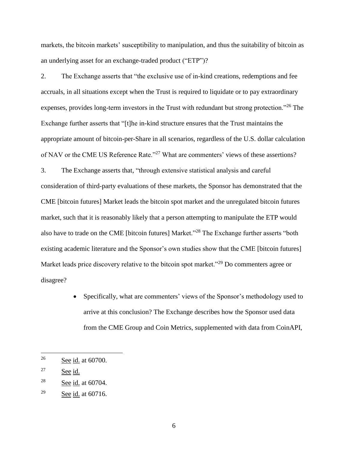markets, the bitcoin markets' susceptibility to manipulation, and thus the suitability of bitcoin as an underlying asset for an exchange-traded product ("ETP")?

2. The Exchange asserts that "the exclusive use of in-kind creations, redemptions and fee accruals, in all situations except when the Trust is required to liquidate or to pay extraordinary expenses, provides long-term investors in the Trust with redundant but strong protection.<sup>"26</sup> The Exchange further asserts that "[t]he in-kind structure ensures that the Trust maintains the appropriate amount of bitcoin-per-Share in all scenarios, regardless of the U.S. dollar calculation of NAV or the CME US Reference Rate."<sup>27</sup> What are commenters' views of these assertions? 3. The Exchange asserts that, "through extensive statistical analysis and careful consideration of third-party evaluations of these markets, the Sponsor has demonstrated that the CME [bitcoin futures] Market leads the bitcoin spot market and the unregulated bitcoin futures market, such that it is reasonably likely that a person attempting to manipulate the ETP would also have to trade on the CME [bitcoin futures] Market."<sup>28</sup> The Exchange further asserts "both

existing academic literature and the Sponsor's own studies show that the CME [bitcoin futures] Market leads price discovery relative to the bitcoin spot market."<sup>29</sup> Do commenters agree or disagree?

> Specifically, what are commenters' views of the Sponsor's methodology used to arrive at this conclusion? The Exchange describes how the Sponsor used data from the CME Group and Coin Metrics, supplemented with data from CoinAPI,

<sup>&</sup>lt;sup>26</sup> See <u>id.</u> at 60700.

<sup>&</sup>lt;sup>27</sup> See id.

<sup>28</sup> See id. at 60704.

<sup>&</sup>lt;sup>29</sup> See id. at  $60716$ .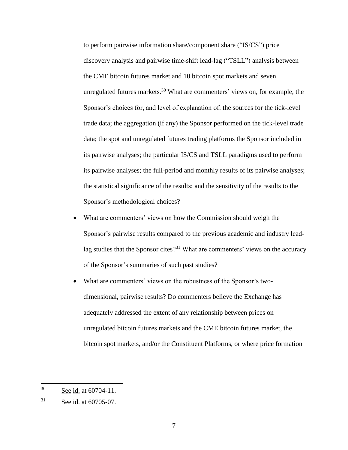to perform pairwise information share/component share ("IS/CS") price discovery analysis and pairwise time-shift lead-lag ("TSLL") analysis between the CME bitcoin futures market and 10 bitcoin spot markets and seven unregulated futures markets.<sup>30</sup> What are commenters' views on, for example, the Sponsor's choices for, and level of explanation of: the sources for the tick-level trade data; the aggregation (if any) the Sponsor performed on the tick-level trade data; the spot and unregulated futures trading platforms the Sponsor included in its pairwise analyses; the particular IS/CS and TSLL paradigms used to perform its pairwise analyses; the full-period and monthly results of its pairwise analyses; the statistical significance of the results; and the sensitivity of the results to the Sponsor's methodological choices?

- What are commenters' views on how the Commission should weigh the Sponsor's pairwise results compared to the previous academic and industry leadlag studies that the Sponsor cites?<sup>31</sup> What are commenters' views on the accuracy of the Sponsor's summaries of such past studies?
- What are commenters' views on the robustness of the Sponsor's twodimensional, pairwise results? Do commenters believe the Exchange has adequately addressed the extent of any relationship between prices on unregulated bitcoin futures markets and the CME bitcoin futures market, the bitcoin spot markets, and/or the Constituent Platforms, or where price formation

<sup>30</sup> See id. at 60704-11.

<sup>31</sup> See id. at 60705-07.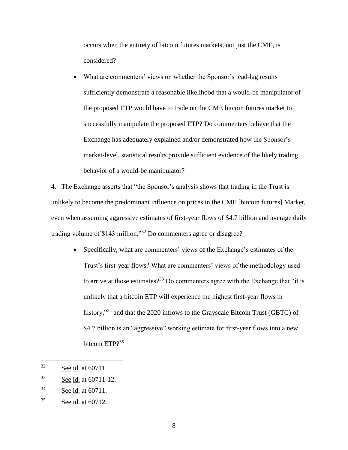occurs when the entirety of bitcoin futures markets, not just the CME, is considered?

 What are commenters' views on whether the Sponsor's lead-lag results sufficiently demonstrate a reasonable likelihood that a would-be manipulator of the proposed ETP would have to trade on the CME bitcoin futures market to successfully manipulate the proposed ETP? Do commenters believe that the Exchange has adequately explained and/or demonstrated how the Sponsor's market-level, statistical results provide sufficient evidence of the likely trading behavior of a would-be manipulator?

4. The Exchange asserts that "the Sponsor's analysis shows that trading in the Trust is unlikely to become the predominant influence on prices in the CME [bitcoin futures] Market, even when assuming aggressive estimates of first-year flows of \$4.7 billion and average daily trading volume of \$143 million."<sup>32</sup> Do commenters agree or disagree?

 Specifically, what are commenters' views of the Exchange's estimates of the Trust's first-year flows? What are commenters' views of the methodology used to arrive at those estimates?<sup>33</sup> Do commenters agree with the Exchange that "it is unlikely that a bitcoin ETP will experience the highest first-year flows in history,"<sup>34</sup> and that the 2020 inflows to the Grayscale Bitcoin Trust (GBTC) of \$4.7 billion is an "aggressive" working estimate for first-year flows into a new bitcoin ETP?<sup>35</sup>

<sup>32</sup> See id. at 60711.

<sup>33</sup> See id. at 60711-12.

<sup>34</sup> See id. at 60711.

<sup>35</sup> See id. at 60712.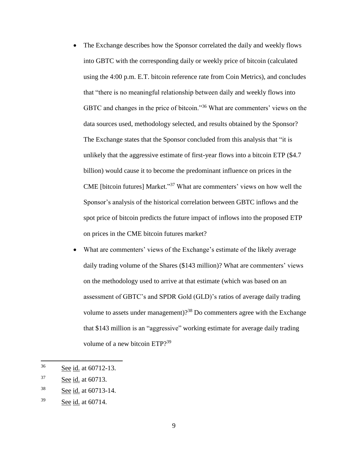- The Exchange describes how the Sponsor correlated the daily and weekly flows into GBTC with the corresponding daily or weekly price of bitcoin (calculated using the 4:00 p.m. E.T. bitcoin reference rate from Coin Metrics), and concludes that "there is no meaningful relationship between daily and weekly flows into GBTC and changes in the price of bitcoin."<sup>36</sup> What are commenters' views on the data sources used, methodology selected, and results obtained by the Sponsor? The Exchange states that the Sponsor concluded from this analysis that "it is unlikely that the aggressive estimate of first-year flows into a bitcoin ETP (\$4.7 billion) would cause it to become the predominant influence on prices in the CME [bitcoin futures] Market."<sup>37</sup> What are commenters' views on how well the Sponsor's analysis of the historical correlation between GBTC inflows and the spot price of bitcoin predicts the future impact of inflows into the proposed ETP on prices in the CME bitcoin futures market?
- What are commenters' views of the Exchange's estimate of the likely average daily trading volume of the Shares (\$143 million)? What are commenters' views on the methodology used to arrive at that estimate (which was based on an assessment of GBTC's and SPDR Gold (GLD)'s ratios of average daily trading volume to assets under management) $?$ <sup>38</sup> Do commenters agree with the Exchange that \$143 million is an "aggressive" working estimate for average daily trading volume of a new bitcoin ETP?<sup>39</sup>

<sup>36</sup> See id. at 60712-13.

<sup>37</sup> See id. at 60713.

<sup>38</sup> See id. at 60713-14.

<sup>39</sup> See id. at 60714.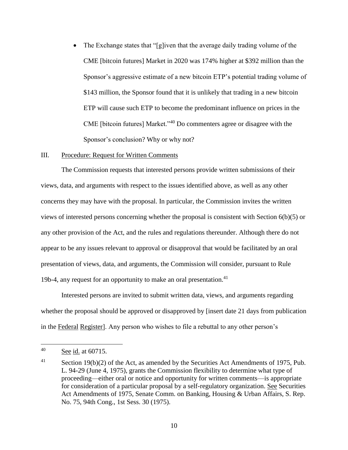The Exchange states that "[g]iven that the average daily trading volume of the CME [bitcoin futures] Market in 2020 was 174% higher at \$392 million than the Sponsor's aggressive estimate of a new bitcoin ETP's potential trading volume of \$143 million, the Sponsor found that it is unlikely that trading in a new bitcoin ETP will cause such ETP to become the predominant influence on prices in the CME [bitcoin futures] Market."<sup>40</sup> Do commenters agree or disagree with the Sponsor's conclusion? Why or why not?

### III. Procedure: Request for Written Comments

The Commission requests that interested persons provide written submissions of their views, data, and arguments with respect to the issues identified above, as well as any other concerns they may have with the proposal. In particular, the Commission invites the written views of interested persons concerning whether the proposal is consistent with Section 6(b)(5) or any other provision of the Act, and the rules and regulations thereunder. Although there do not appear to be any issues relevant to approval or disapproval that would be facilitated by an oral presentation of views, data, and arguments, the Commission will consider, pursuant to Rule 19b-4, any request for an opportunity to make an oral presentation. $41$ 

Interested persons are invited to submit written data, views, and arguments regarding whether the proposal should be approved or disapproved by [insert date 21 days from publication in the Federal Register]. Any person who wishes to file a rebuttal to any other person's

<sup>40</sup> See id. at 60715.

 $41$  Section 19(b)(2) of the Act, as amended by the Securities Act Amendments of 1975, Pub. L. 94-29 (June 4, 1975), grants the Commission flexibility to determine what type of proceeding—either oral or notice and opportunity for written comments—is appropriate for consideration of a particular proposal by a self-regulatory organization. See Securities Act Amendments of 1975, Senate Comm. on Banking, Housing & Urban Affairs, S. Rep. No. 75, 94th Cong., 1st Sess. 30 (1975).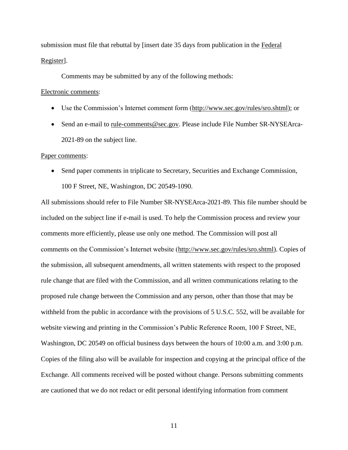submission must file that rebuttal by [insert date 35 days from publication in the Federal Register].

Comments may be submitted by any of the following methods:

#### Electronic comments:

- Use the Commission's Internet comment form (http://www.sec.gov/rules/sro.shtml); or
- Send an e-mail to rule-comments@sec.gov. Please include File Number SR-NYSEArca-2021-89 on the subject line.

#### Paper comments:

• Send paper comments in triplicate to Secretary, Securities and Exchange Commission, 100 F Street, NE, Washington, DC 20549-1090.

All submissions should refer to File Number SR-NYSEArca-2021-89. This file number should be included on the subject line if e-mail is used. To help the Commission process and review your comments more efficiently, please use only one method. The Commission will post all comments on the Commission's Internet website (http://www.sec.gov/rules/sro.shtml). Copies of the submission, all subsequent amendments, all written statements with respect to the proposed rule change that are filed with the Commission, and all written communications relating to the proposed rule change between the Commission and any person, other than those that may be withheld from the public in accordance with the provisions of 5 U.S.C. 552, will be available for website viewing and printing in the Commission's Public Reference Room, 100 F Street, NE, Washington, DC 20549 on official business days between the hours of 10:00 a.m. and 3:00 p.m. Copies of the filing also will be available for inspection and copying at the principal office of the Exchange. All comments received will be posted without change. Persons submitting comments are cautioned that we do not redact or edit personal identifying information from comment

11